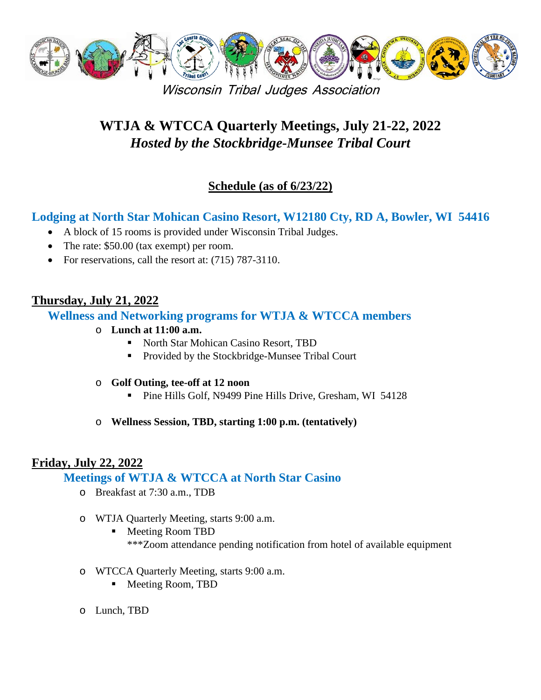

Wisconsin Tribal Judges Association

# **WTJA & WTCCA Quarterly Meetings, July 21-22, 2022** *Hosted by the Stockbridge-Munsee Tribal Court*

# **Schedule (as of 6/23/22)**

# **Lodging at North Star Mohican Casino Resort, W12180 Cty, RD A, Bowler, WI 54416**

- A block of 15 rooms is provided under Wisconsin Tribal Judges.
- The rate: \$50.00 (tax exempt) per room.
- For reservations, call the resort at: (715) 787-3110.

# **Thursday, July 21, 2022**

### **Wellness and Networking programs for WTJA & WTCCA members**

- o **Lunch at 11:00 a.m.**
	- North Star Mohican Casino Resort, TBD
	- Provided by the Stockbridge-Munsee Tribal Court
- o **Golf Outing, tee-off at 12 noon**
	- Pine Hills Golf, N9499 Pine Hills Drive, Gresham, WI 54128
- o **Wellness Session, TBD, starting 1:00 p.m. (tentatively)**

# **Friday, July 22, 2022**

# **Meetings of WTJA & WTCCA at North Star Casino**

- o Breakfast at 7:30 a.m., TDB
- o WTJA Quarterly Meeting, starts 9:00 a.m.
	- Meeting Room TBD \*\*\*Zoom attendance pending notification from hotel of available equipment
- o WTCCA Quarterly Meeting, starts 9:00 a.m.
	- **Meeting Room, TBD**
- o Lunch, TBD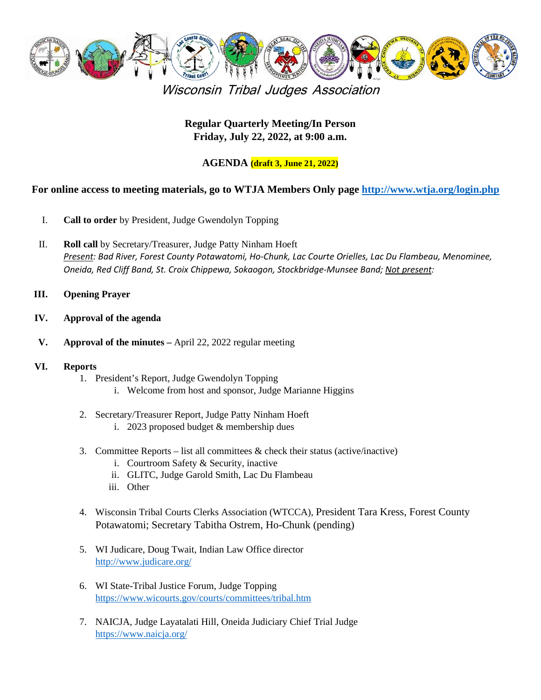

Wisconsin Tribal Judges Association

### **Regular Quarterly Meeting/In Person Friday, July 22, 2022, at 9:00 a.m.**

#### **AGENDA (draft 3, June 21, 2022)**

#### **For online access to meeting materials, go to WTJA Members Only page<http://www.wtja.org/login.php>**

- I. **Call to order** by President, Judge Gwendolyn Topping
- II. **Roll call** by Secretary/Treasurer, Judge Patty Ninham Hoeft *Present: Bad River, Forest County Potawatomi, Ho-Chunk, Lac Courte Orielles, Lac Du Flambeau, Menominee, Oneida, Red Cliff Band, St. Croix Chippewa, Sokaogon, Stockbridge-Munsee Band; Not present:*
- **III. Opening Prayer**
- **IV. Approval of the agenda**
- **V. Approval of the minutes –** April 22, 2022 regular meeting
- **VI. Reports**
	- 1. President's Report, Judge Gwendolyn Topping i. Welcome from host and sponsor, Judge Marianne Higgins
	- 2. Secretary/Treasurer Report, Judge Patty Ninham Hoeft
		- i. 2023 proposed budget & membership dues
	- 3. Committee Reports list all committees  $\&$  check their status (active/inactive)
		- i. Courtroom Safety & Security, inactive
		- ii. GLITC, Judge Garold Smith, Lac Du Flambeau
		- iii. Other
	- 4. Wisconsin Tribal Courts Clerks Association (WTCCA), President Tara Kress, Forest County Potawatomi; Secretary Tabitha Ostrem, Ho-Chunk (pending)
	- 5. WI Judicare, Doug Twait, Indian Law Office director <http://www.judicare.org/>
	- 6. WI State-Tribal Justice Forum, Judge Topping <https://www.wicourts.gov/courts/committees/tribal.htm>
	- 7. NAICJA, Judge Layatalati Hill, Oneida Judiciary Chief Trial Judge <https://www.naicja.org/>